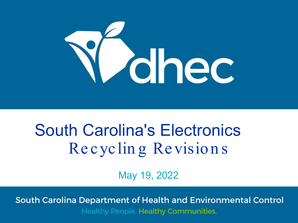

#### South Carolina's Electronics Re cyclin g Revision s

May 19, 2022

South Carolina Department of Health and Environmental Control Healthy People. Healthy Communities.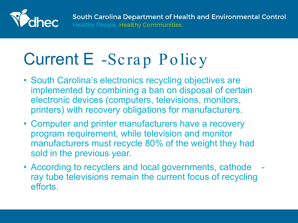

# Current E -Scrap Policy

- South Carolina's electronics recycling objectives are implemented by combining a ban on disposal of certain electronic devices (computers, televisions, monitors, printers) with recovery obligations for manufacturers.
- Computer and printer manufacturers have a recovery program requirement, while television and monitor manufacturers must recycle 80% of the weight they had sold in the previous year.
- According to recyclers and local governments, cathode ray tube televisions remain the current focus of recycling efforts.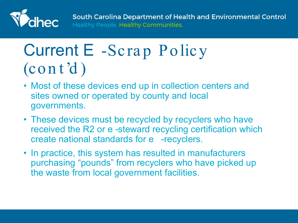

South Carolina Department of Health and Environmental Control Healthy People. Healthy Communities.

#### Current E -Scrap Policy (con t 'd )

- Most of these devices end up in collection centers and sites owned or operated by county and local governments.
- These devices must be recycled by recyclers who have received the R2 or e -steward recycling certification which create national standards for e -recyclers.
- In practice, this system has resulted in manufacturers purchasing "pounds" from recyclers who have picked up the waste from local government facilities.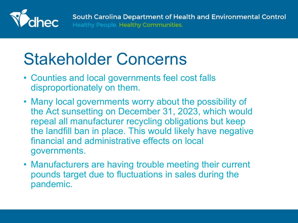

# Stakeholder Concerns

- Counties and local governments feel cost falls disproportionately on them.
- Many local governments worry about the possibility of the Act sunsetting on December 31, 2023, which would repeal all manufacturer recycling obligations but keep the landfill ban in place. This would likely have negative financial and administrative effects on local governments.
- Manufacturers are having trouble meeting their current pounds target due to fluctuations in sales during the pandemic.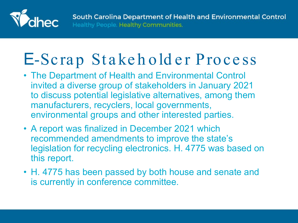

## E-Scrap Stakehold er Process

- The Department of Health and Environmental Control invited a diverse group of stakeholders in January 2021 to discuss potential legislative alternatives, among them manufacturers, recyclers, local governments, environmental groups and other interested parties.
- A report was finalized in December 2021 which recommended amendments to improve the state's legislation for recycling electronics. H. 4775 was based on this report.
- H. 4775 has been passed by both house and senate and is currently in conference committee.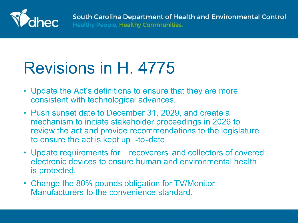

#### Revisions in H. 4775

- Update the Act's definitions to ensure that they are more consistent with technological advances.
- Push sunset date to December 31, 2029, and create a mechanism to initiate stakeholder proceedings in 2026 to review the act and provide recommendations to the legislature to ensure the act is kept up -to-date.
- Update requirements for recoverers and collectors of covered electronic devices to ensure human and environmental health is protected.
- Change the 80% pounds obligation for TV/Monitor Manufacturers to the convenience standard.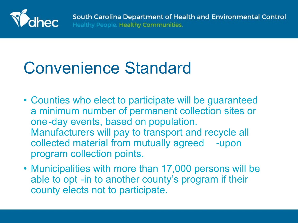

#### Convenience Standard

- Counties who elect to participate will be guaranteed a minimum number of permanent collection sites or one-day events, based on population. Manufacturers will pay to transport and recycle all collected material from mutually agreed -upon program collection points.
- Municipalities with more than 17,000 persons will be able to opt -in to another county's program if their county elects not to participate.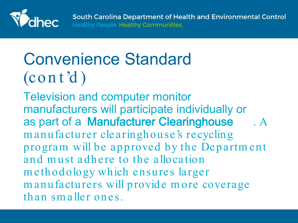

# Convenience Standard  $(\text{cont d})$

Television and computer monitor manufacturers will participate individually or as part of a Manufacturer Clearinghouse . A m anufacturer clearinghouse's recycling program will be approved by the Departm ent and m ust adhere to the allocation m ethodology which ensures larger m anufacturers will provide m ore coverage than sm aller ones.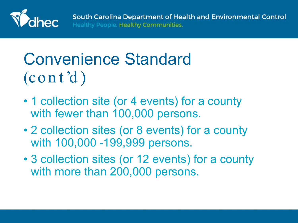

# Convenience Standard  $(\text{cont d})$

- 1 collection site (or 4 events) for a county with fewer than 100,000 persons.
- 2 collection sites (or 8 events) for a county with 100,000 -199,999 persons.
- 3 collection sites (or 12 events) for a county with more than 200,000 persons.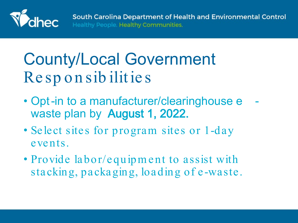

## County/Local Government Re sp on sib ilitie s

- Opt-in to a manufacturer/clearinghouse e waste plan by August 1, 2022.
- Select sites for program sites or 1-day events.
- Provide labor/equipm ent to assist with stacking, packaging, loading of e -waste.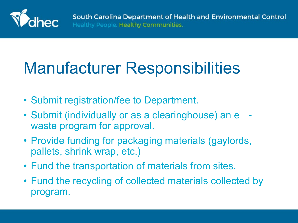

## Manufacturer Responsibilities

- Submit registration/fee to Department.
- Submit (individually or as a clearinghouse) an e waste program for approval.
- Provide funding for packaging materials (gaylords, pallets, shrink wrap, etc.)
- Fund the transportation of materials from sites.
- Fund the recycling of collected materials collected by program.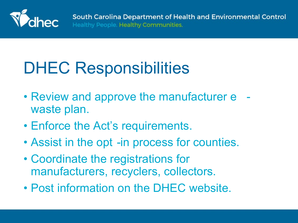

## DHEC Responsibilities

- Review and approve the manufacturer e waste plan.
- Enforce the Act's requirements.
- Assist in the opt -in process for counties.
- Coordinate the registrations for manufacturers, recyclers, collectors.
- Post information on the DHEC website.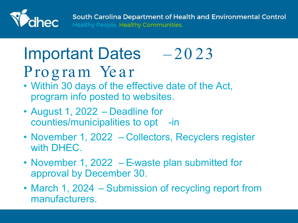

South Carolina Department of Health and Environmental Control Healthy People. Healthy Communities.

#### Important Dates – 20 23 Program Year

- Within 30 days of the effective date of the Act, program info posted to websites.
- August 1, 2022 Deadline for counties/municipalities to opt -in
- November 1, 2022 Collectors, Recyclers register with DHEC.
- November 1, 2022 E-waste plan submitted for approval by December 30.
- March 1, 2024 Submission of recycling report from manufacturers.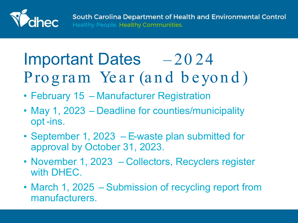

## Important Dates – 2024 Program Year (and beyond)

- February 15 Manufacturer Registration
- May 1, 2023 Deadline for counties/municipality opt -ins.
- September 1, 2023 E-waste plan submitted for approval by October 31, 2023.
- November 1, 2023 Collectors, Recyclers register with DHEC.
- March 1, 2025 Submission of recycling report from manufacturers.